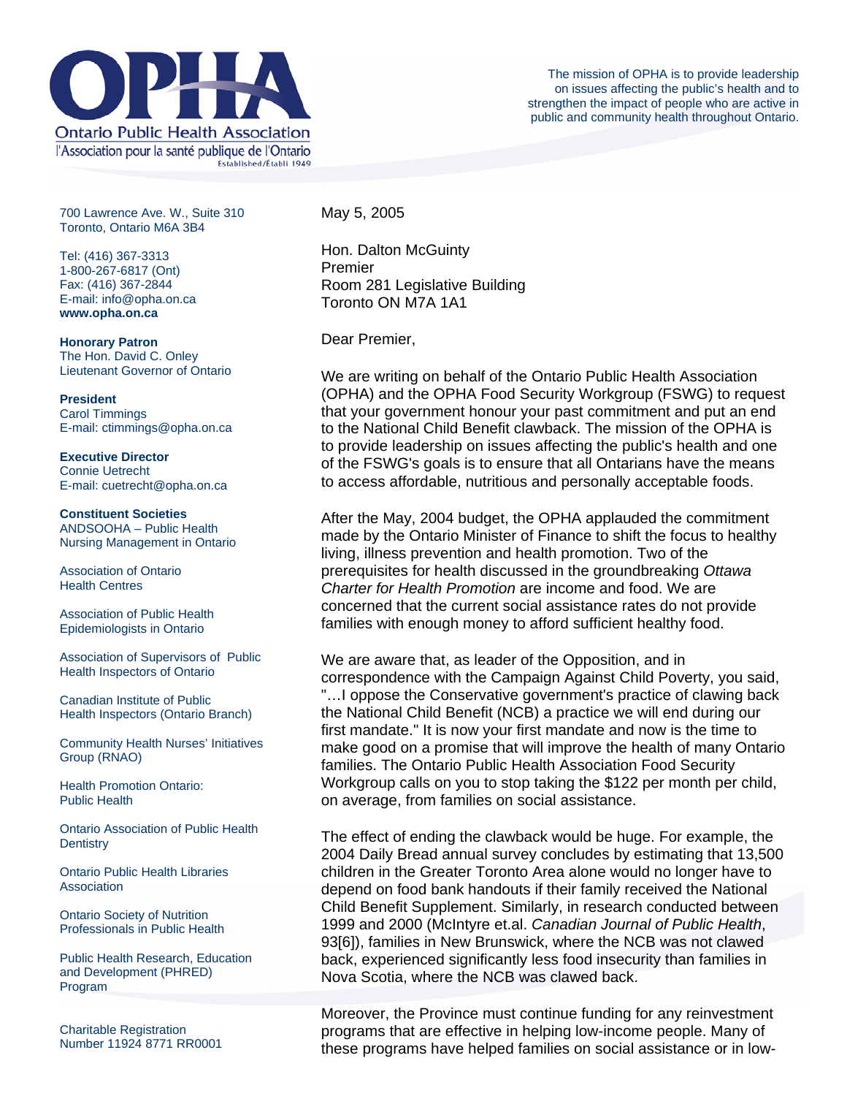

700 Lawrence Ave. W., Suite 310 Toronto, Ontario M6A 3B4

Tel: (416) 367-3313 1-800-267-6817 (Ont) Fax: (416) 367-2844 E-mail: info@opha.on.ca **www.opha.on.ca** 

**Honorary Patron**  The Hon. David C. Onley Lieutenant Governor of Ontario

**President**  Carol Timmings E-mail: ctimmings@opha.on.ca

**Executive Director**  Connie Uetrecht E-mail: cuetrecht@opha.on.ca

**Constituent Societies**  ANDSOOHA – Public Health Nursing Management in Ontario

Association of Ontario Health Centres

Association of Public Health Epidemiologists in Ontario

Association of Supervisors of Public Health Inspectors of Ontario

Canadian Institute of Public Health Inspectors (Ontario Branch)

Community Health Nurses' Initiatives Group (RNAO)

Health Promotion Ontario: Public Health

Ontario Association of Public Health **Dentistry** 

Ontario Public Health Libraries **Association** 

Ontario Society of Nutrition Professionals in Public Health

Public Health Research, Education and Development (PHRED) Program

Charitable Registration Number 11924 8771 RR0001 May 5, 2005

Hon. Dalton McGuinty Premier Room 281 Legislative Building Toronto ON M7A 1A1

Dear Premier,

We are writing on behalf of the Ontario Public Health Association (OPHA) and the OPHA Food Security Workgroup (FSWG) to request that your government honour your past commitment and put an end to the National Child Benefit clawback. The mission of the OPHA is to provide leadership on issues affecting the public's health and one of the FSWG's goals is to ensure that all Ontarians have the means to access affordable, nutritious and personally acceptable foods.

After the May, 2004 budget, the OPHA applauded the commitment made by the Ontario Minister of Finance to shift the focus to healthy living, illness prevention and health promotion. Two of the prerequisites for health discussed in the groundbreaking *Ottawa Charter for Health Promotion* are income and food. We are concerned that the current social assistance rates do not provide families with enough money to afford sufficient healthy food.

We are aware that, as leader of the Opposition, and in correspondence with the Campaign Against Child Poverty, you said, "…I oppose the Conservative government's practice of clawing back the National Child Benefit (NCB) a practice we will end during our first mandate." It is now your first mandate and now is the time to make good on a promise that will improve the health of many Ontario families. The Ontario Public Health Association Food Security Workgroup calls on you to stop taking the \$122 per month per child, on average, from families on social assistance.

The effect of ending the clawback would be huge. For example, the 2004 Daily Bread annual survey concludes by estimating that 13,500 children in the Greater Toronto Area alone would no longer have to depend on food bank handouts if their family received the National Child Benefit Supplement. Similarly, in research conducted between 1999 and 2000 (McIntyre et.al. *Canadian Journal of Public Health*, 93[6]), families in New Brunswick, where the NCB was not clawed back, experienced significantly less food insecurity than families in Nova Scotia, where the NCB was clawed back.

Moreover, the Province must continue funding for any reinvestment programs that are effective in helping low-income people. Many of these programs have helped families on social assistance or in low